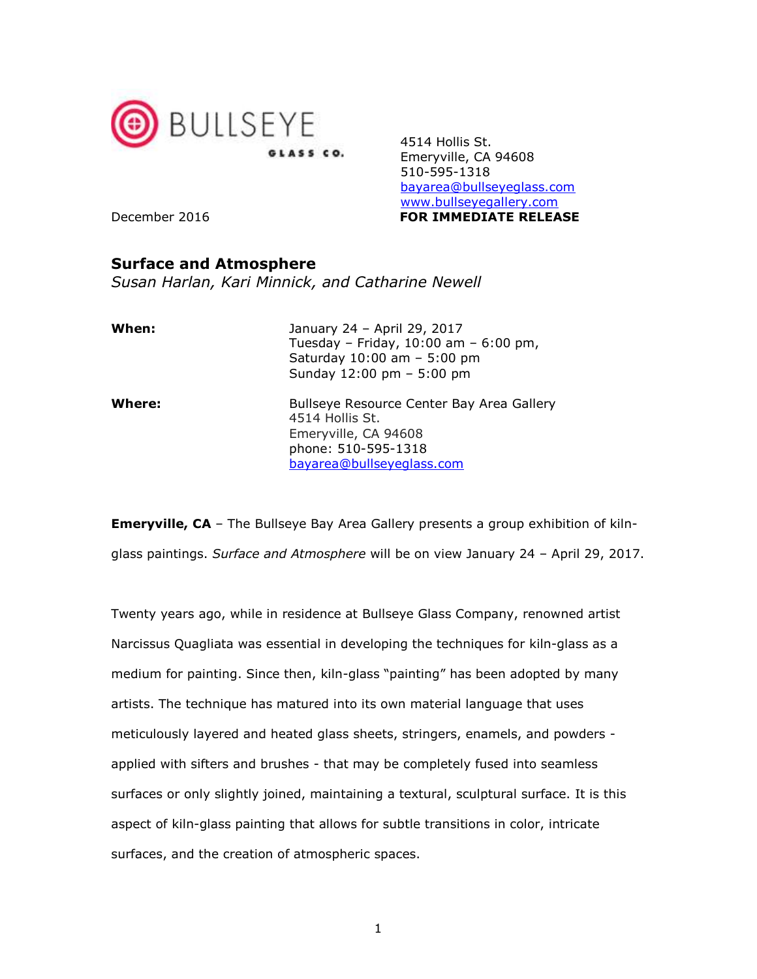

4514 Hollis St. Emeryville, CA 94608 510-595-1318 bayarea@bullseyeglass.com www.bullseyegallery.com December 2016 **FOR IMMEDIATE RELEASE** 

## Surface and Atmosphere

Susan Harlan, Kari Minnick, and Catharine Newell

| When:         | January 24 - April 29, 2017<br>Tuesday - Friday, $10:00$ am - 6:00 pm,<br>Saturday 10:00 am - 5:00 pm<br>Sunday 12:00 pm - 5:00 pm       |
|---------------|------------------------------------------------------------------------------------------------------------------------------------------|
| <b>Where:</b> | Bullseye Resource Center Bay Area Gallery<br>4514 Hollis St.<br>Emeryville, CA 94608<br>phone: 510-595-1318<br>bayarea@bullseyeglass.com |

**Emeryville, CA** - The Bullseye Bay Area Gallery presents a group exhibition of kilnglass paintings. Surface and Atmosphere will be on view January 24 - April 29, 2017.

Twenty years ago, while in residence at Bullseye Glass Company, renowned artist Narcissus Quagliata was essential in developing the techniques for kiln-glass as a medium for painting. Since then, kiln-glass "painting" has been adopted by many artists. The technique has matured into its own material language that uses meticulously layered and heated glass sheets, stringers, enamels, and powders applied with sifters and brushes - that may be completely fused into seamless surfaces or only slightly joined, maintaining a textural, sculptural surface. It is this aspect of kiln-glass painting that allows for subtle transitions in color, intricate surfaces, and the creation of atmospheric spaces.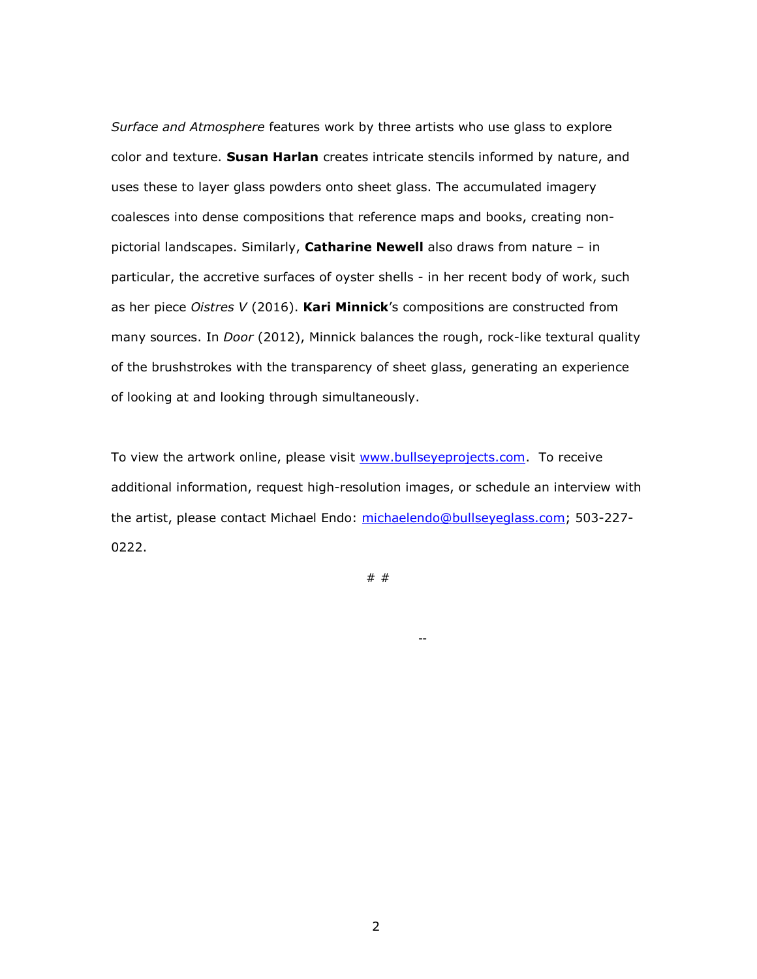Surface and Atmosphere features work by three artists who use glass to explore color and texture. Susan Harlan creates intricate stencils informed by nature, and uses these to layer glass powders onto sheet glass. The accumulated imagery coalesces into dense compositions that reference maps and books, creating nonpictorial landscapes. Similarly, Catharine Newell also draws from nature - in particular, the accretive surfaces of oyster shells - in her recent body of work, such as her piece Oistres  $V$  (2016). Kari Minnick's compositions are constructed from many sources. In *Door* (2012), Minnick balances the rough, rock-like textural quality of the brushstrokes with the transparency of sheet glass, generating an experience of looking at and looking through simultaneously.

To view the artwork online, please visit www.bullseyeprojects.com. To receive additional information, request high-resolution images, or schedule an interview with the artist, please contact Michael Endo: michaelendo@bullseyeglass.com; 503-227- 0222.

# #

--